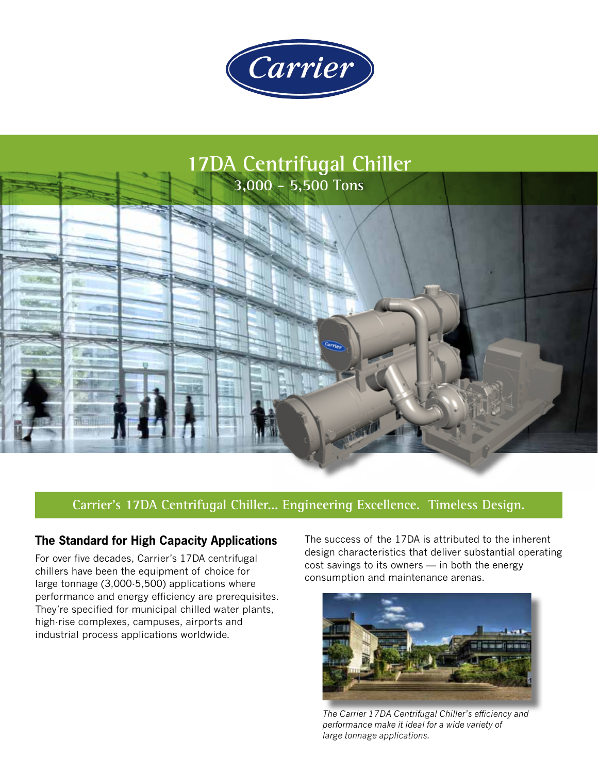



### **Carrier's 17DA Centrifugal Chiller... Engineering Excellence. Timeless Design.**

#### **The Standard for High Capacity Applications**

For over five decades, Carrier's 17DA centrifugal chillers have been the equipment of choice for large tonnage (3,000-5,500) applications where performance and energy efficiency are prerequisites. They're specified for municipal chilled water plants, high-rise complexes, campuses, airports and industrial process applications worldwide.

The success of the 17DA is attributed to the inherent design characteristics that deliver substantial operating cost savings to its owners — in both the energy consumption and maintenance arenas.



*The Carrier 17DA Centrifugal Chiller's efficiency and performance make it ideal for a wide variety of large tonnage applications.*